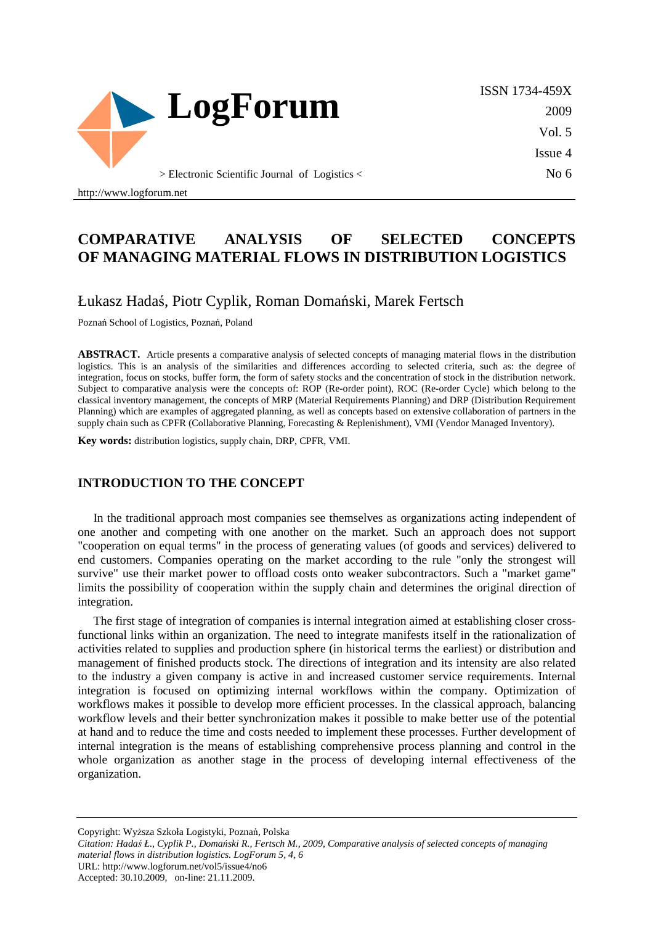

http://www.logforum.net

# **COMPARATIVE ANALYSIS OF SELECTED CONCEPTS OF MANAGING MATERIAL FLOWS IN DISTRIBUTION LOGISTICS**

### Łukasz Hadaś, Piotr Cyplik, Roman Domański, Marek Fertsch

Poznań School of Logistics, Poznań, Poland

**ABSTRACT.** Article presents a comparative analysis of selected concepts of managing material flows in the distribution logistics. This is an analysis of the similarities and differences according to selected criteria, such as: the degree of integration, focus on stocks, buffer form, the form of safety stocks and the concentration of stock in the distribution network. Subject to comparative analysis were the concepts of: ROP (Re-order point), ROC (Re-order Cycle) which belong to the classical inventory management, the concepts of MRP (Material Requirements Planning) and DRP (Distribution Requirement Planning) which are examples of aggregated planning, as well as concepts based on extensive collaboration of partners in the supply chain such as CPFR (Collaborative Planning, Forecasting & Replenishment), VMI (Vendor Managed Inventory).

**Key words:** distribution logistics, supply chain, DRP, CPFR, VMI.

#### **INTRODUCTION TO THE CONCEPT**

In the traditional approach most companies see themselves as organizations acting independent of one another and competing with one another on the market. Such an approach does not support "cooperation on equal terms" in the process of generating values (of goods and services) delivered to end customers. Companies operating on the market according to the rule "only the strongest will survive" use their market power to offload costs onto weaker subcontractors. Such a "market game" limits the possibility of cooperation within the supply chain and determines the original direction of integration.

The first stage of integration of companies is internal integration aimed at establishing closer crossfunctional links within an organization. The need to integrate manifests itself in the rationalization of activities related to supplies and production sphere (in historical terms the earliest) or distribution and management of finished products stock. The directions of integration and its intensity are also related to the industry a given company is active in and increased customer service requirements. Internal integration is focused on optimizing internal workflows within the company. Optimization of workflows makes it possible to develop more efficient processes. In the classical approach, balancing workflow levels and their better synchronization makes it possible to make better use of the potential at hand and to reduce the time and costs needed to implement these processes. Further development of internal integration is the means of establishing comprehensive process planning and control in the whole organization as another stage in the process of developing internal effectiveness of the organization.

Copyright: Wyższa Szkoła Logistyki, Poznań, Polska

*Citation: Hadaś Ł., Cyplik P., Domański R., Fertsch M., 2009, Comparative analysis of selected concepts of managing* 

*material flows in distribution logistics. LogForum 5, 4, 6* 

URL: http://www.logforum.net/vol5/issue4/no6

Accepted: 30.10.2009, on-line: 21.11.2009.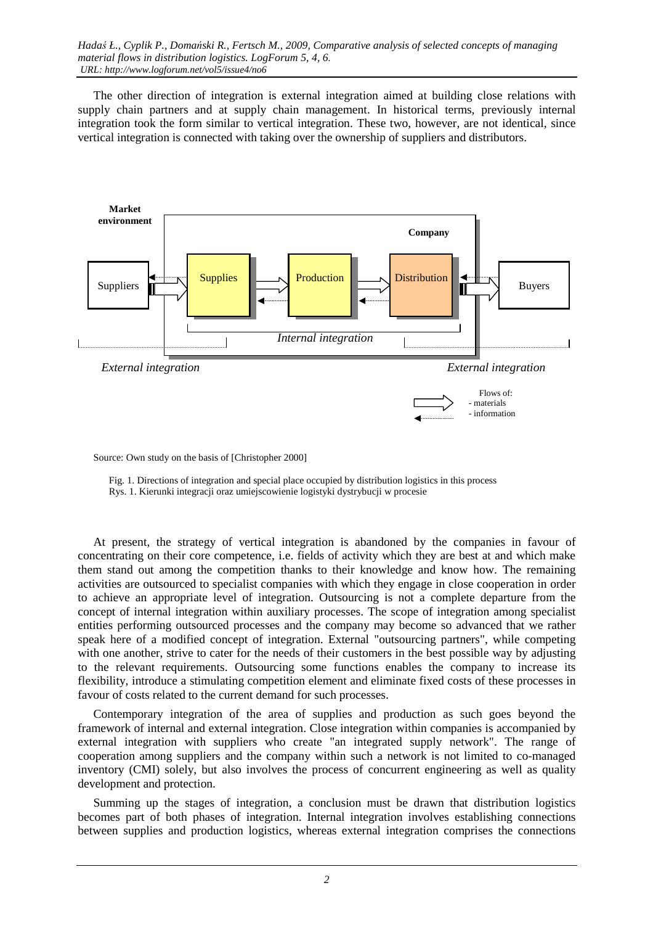The other direction of integration is external integration aimed at building close relations with supply chain partners and at supply chain management. In historical terms, previously internal integration took the form similar to vertical integration. These two, however, are not identical, since vertical integration is connected with taking over the ownership of suppliers and distributors.



Source: Own study on the basis of [Christopher 2000]

Fig. 1. Directions of integration and special place occupied by distribution logistics in this process

Rys. 1. Kierunki integracji oraz umiejscowienie logistyki dystrybucji w procesie

At present, the strategy of vertical integration is abandoned by the companies in favour of concentrating on their core competence, i.e. fields of activity which they are best at and which make them stand out among the competition thanks to their knowledge and know how. The remaining activities are outsourced to specialist companies with which they engage in close cooperation in order to achieve an appropriate level of integration. Outsourcing is not a complete departure from the concept of internal integration within auxiliary processes. The scope of integration among specialist entities performing outsourced processes and the company may become so advanced that we rather speak here of a modified concept of integration. External "outsourcing partners", while competing with one another, strive to cater for the needs of their customers in the best possible way by adjusting to the relevant requirements. Outsourcing some functions enables the company to increase its flexibility, introduce a stimulating competition element and eliminate fixed costs of these processes in favour of costs related to the current demand for such processes.

Contemporary integration of the area of supplies and production as such goes beyond the framework of internal and external integration. Close integration within companies is accompanied by external integration with suppliers who create "an integrated supply network". The range of cooperation among suppliers and the company within such a network is not limited to co-managed inventory (CMI) solely, but also involves the process of concurrent engineering as well as quality development and protection.

Summing up the stages of integration, a conclusion must be drawn that distribution logistics becomes part of both phases of integration. Internal integration involves establishing connections between supplies and production logistics, whereas external integration comprises the connections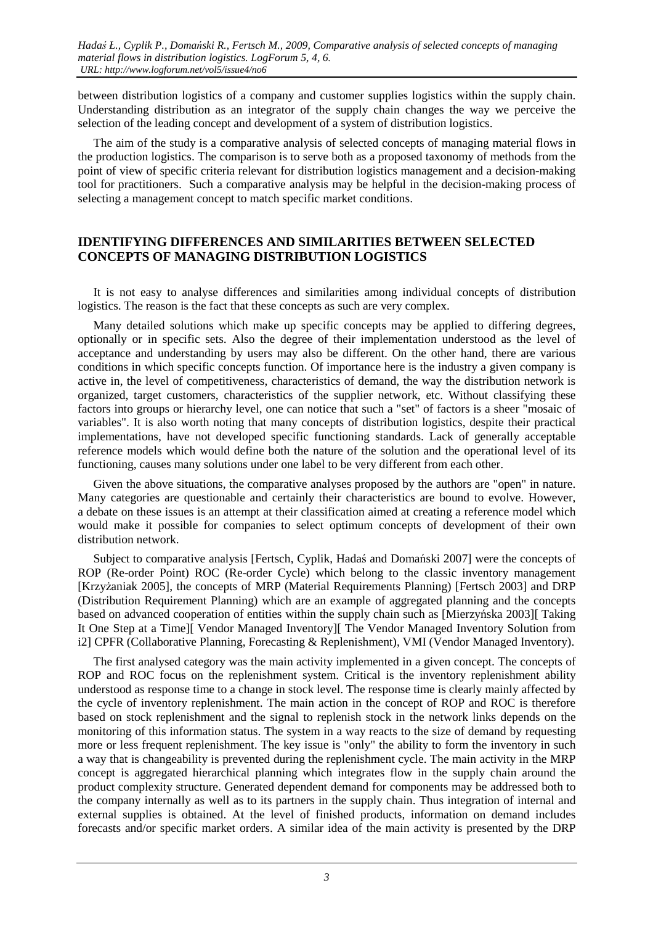between distribution logistics of a company and customer supplies logistics within the supply chain. Understanding distribution as an integrator of the supply chain changes the way we perceive the selection of the leading concept and development of a system of distribution logistics.

The aim of the study is a comparative analysis of selected concepts of managing material flows in the production logistics. The comparison is to serve both as a proposed taxonomy of methods from the point of view of specific criteria relevant for distribution logistics management and a decision-making tool for practitioners. Such a comparative analysis may be helpful in the decision-making process of selecting a management concept to match specific market conditions.

#### **IDENTIFYING DIFFERENCES AND SIMILARITIES BETWEEN SELECTED CONCEPTS OF MANAGING DISTRIBUTION LOGISTICS**

It is not easy to analyse differences and similarities among individual concepts of distribution logistics. The reason is the fact that these concepts as such are very complex.

Many detailed solutions which make up specific concepts may be applied to differing degrees, optionally or in specific sets. Also the degree of their implementation understood as the level of acceptance and understanding by users may also be different. On the other hand, there are various conditions in which specific concepts function. Of importance here is the industry a given company is active in, the level of competitiveness, characteristics of demand, the way the distribution network is organized, target customers, characteristics of the supplier network, etc. Without classifying these factors into groups or hierarchy level, one can notice that such a "set" of factors is a sheer "mosaic of variables". It is also worth noting that many concepts of distribution logistics, despite their practical implementations, have not developed specific functioning standards. Lack of generally acceptable reference models which would define both the nature of the solution and the operational level of its functioning, causes many solutions under one label to be very different from each other.

Given the above situations, the comparative analyses proposed by the authors are "open" in nature. Many categories are questionable and certainly their characteristics are bound to evolve. However, a debate on these issues is an attempt at their classification aimed at creating a reference model which would make it possible for companies to select optimum concepts of development of their own distribution network.

Subject to comparative analysis [Fertsch, Cyplik, Hadaś and Domański 2007] were the concepts of ROP (Re-order Point) ROC (Re-order Cycle) which belong to the classic inventory management [Krzyżaniak 2005], the concepts of MRP (Material Requirements Planning) [Fertsch 2003] and DRP (Distribution Requirement Planning) which are an example of aggregated planning and the concepts based on advanced cooperation of entities within the supply chain such as [Mierzyńska 2003][ Taking It One Step at a Time][ Vendor Managed Inventory][ The Vendor Managed Inventory Solution from i2] CPFR (Collaborative Planning, Forecasting & Replenishment), VMI (Vendor Managed Inventory).

The first analysed category was the main activity implemented in a given concept. The concepts of ROP and ROC focus on the replenishment system. Critical is the inventory replenishment ability understood as response time to a change in stock level. The response time is clearly mainly affected by the cycle of inventory replenishment. The main action in the concept of ROP and ROC is therefore based on stock replenishment and the signal to replenish stock in the network links depends on the monitoring of this information status. The system in a way reacts to the size of demand by requesting more or less frequent replenishment. The key issue is "only" the ability to form the inventory in such a way that is changeability is prevented during the replenishment cycle. The main activity in the MRP concept is aggregated hierarchical planning which integrates flow in the supply chain around the product complexity structure. Generated dependent demand for components may be addressed both to the company internally as well as to its partners in the supply chain. Thus integration of internal and external supplies is obtained. At the level of finished products, information on demand includes forecasts and/or specific market orders. A similar idea of the main activity is presented by the DRP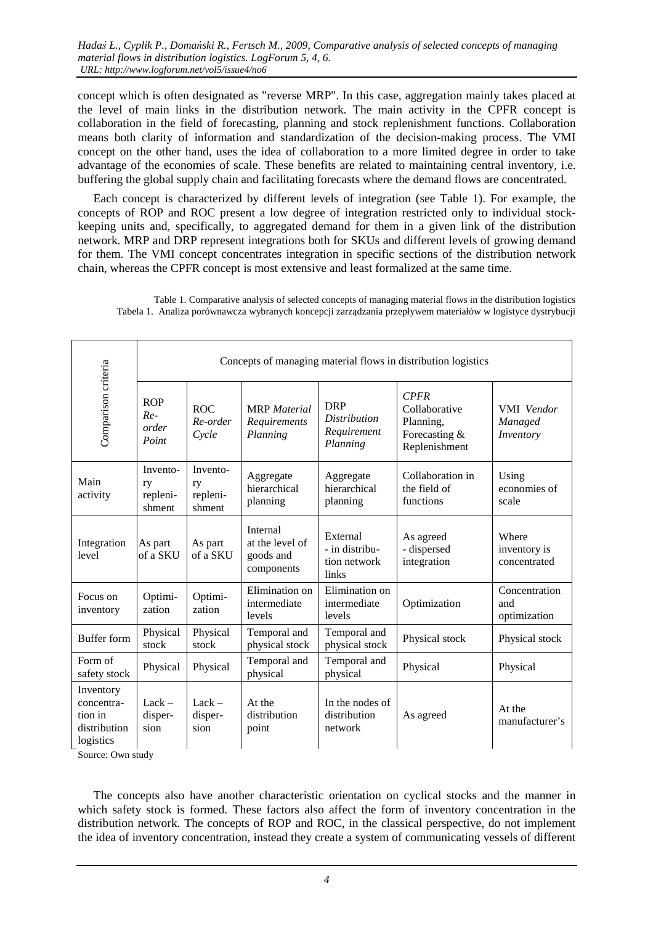concept which is often designated as "reverse MRP". In this case, aggregation mainly takes placed at the level of main links in the distribution network. The main activity in the CPFR concept is collaboration in the field of forecasting, planning and stock replenishment functions. Collaboration means both clarity of information and standardization of the decision-making process. The VMI concept on the other hand, uses the idea of collaboration to a more limited degree in order to take advantage of the economies of scale. These benefits are related to maintaining central inventory, i.e. buffering the global supply chain and facilitating forecasts where the demand flows are concentrated.

Each concept is characterized by different levels of integration (see Table 1). For example, the concepts of ROP and ROC present a low degree of integration restricted only to individual stockkeeping units and, specifically, to aggregated demand for them in a given link of the distribution network. MRP and DRP represent integrations both for SKUs and different levels of growing demand for them. The VMI concept concentrates integration in specific sections of the distribution network chain, whereas the CPFR concept is most extensive and least formalized at the same time.

Table 1. Comparative analysis of selected concepts of managing material flows in the distribution logistics Tabela 1. Analiza porównawcza wybranych koncepcji zarządzania przepływem materiałów w logistyce dystrybucji

| Comparison criteria                                             | Concepts of managing material flows in distribution logistics |                                      |                                                        |                                                              |                                                                             |                                       |
|-----------------------------------------------------------------|---------------------------------------------------------------|--------------------------------------|--------------------------------------------------------|--------------------------------------------------------------|-----------------------------------------------------------------------------|---------------------------------------|
|                                                                 | <b>ROP</b><br>$Re-$<br>order<br>Point                         | <b>ROC</b><br>Re-order<br>Cycle      | <b>MRP</b> Material<br>Requirements<br>Planning        | <b>DRP</b><br><b>Distribution</b><br>Requirement<br>Planning | <b>CPFR</b><br>Collaborative<br>Planning,<br>Forecasting &<br>Replenishment | VMI Vendor<br>Managed<br>Inventory    |
| Main<br>activity                                                | Invento-<br>ry<br>repleni-<br>shment                          | Invento-<br>ry<br>repleni-<br>shment | Aggregate<br>hierarchical<br>planning                  | Aggregate<br>hierarchical<br>planning                        | Collaboration in<br>the field of<br>functions                               | Using<br>economies of<br>scale        |
| Integration<br>level                                            | As part<br>of a SKU                                           | As part<br>of a SKU                  | Internal<br>at the level of<br>goods and<br>components | External<br>- in distribu-<br>tion network<br>links          | As agreed<br>- dispersed<br>integration                                     | Where<br>inventory is<br>concentrated |
| Focus on<br>inventory                                           | Optimi-<br>zation                                             | Optimi-<br>zation                    | Elimination on<br>intermediate<br>levels               | Elimination on<br>intermediate<br>levels                     | Optimization                                                                | Concentration<br>and<br>optimization  |
| <b>Buffer</b> form                                              | Physical<br>stock                                             | Physical<br>stock                    | Temporal and<br>physical stock                         | Temporal and<br>physical stock                               | Physical stock                                                              | Physical stock                        |
| Form of<br>safety stock                                         | Physical                                                      | Physical                             | Temporal and<br>physical                               | Temporal and<br>physical                                     | Physical                                                                    | Physical                              |
| Inventory<br>concentra-<br>tion in<br>distribution<br>logistics | $Lack -$<br>disper-<br>sion                                   | $Lack -$<br>disper-<br>sion          | At the<br>distribution<br>point                        | In the nodes of<br>distribution<br>network                   | As agreed                                                                   | At the<br>manufacturer's              |

Source: Own study

The concepts also have another characteristic orientation on cyclical stocks and the manner in which safety stock is formed. These factors also affect the form of inventory concentration in the distribution network. The concepts of ROP and ROC, in the classical perspective, do not implement the idea of inventory concentration, instead they create a system of communicating vessels of different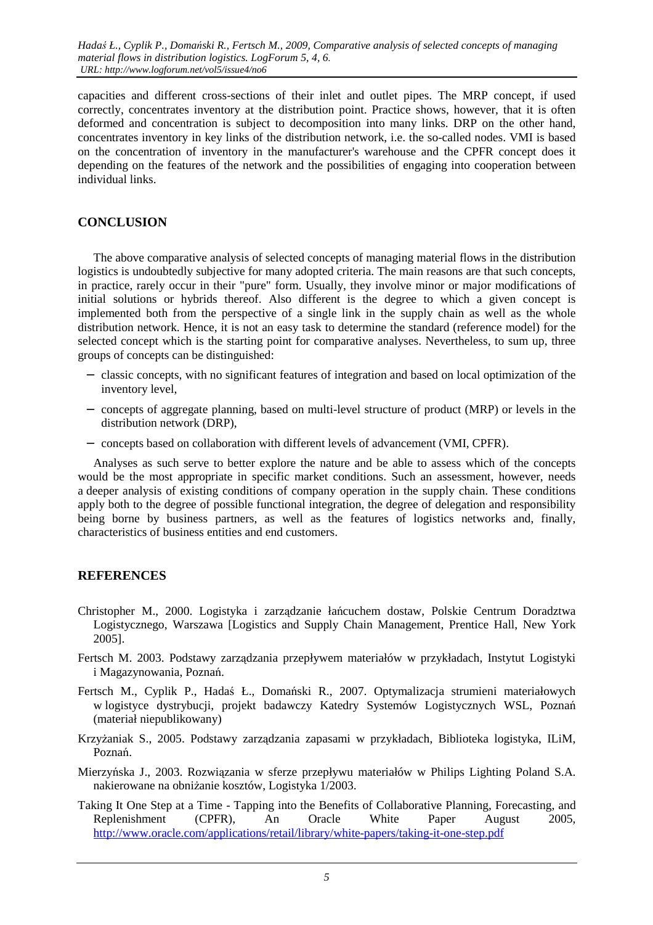capacities and different cross-sections of their inlet and outlet pipes. The MRP concept, if used correctly, concentrates inventory at the distribution point. Practice shows, however, that it is often deformed and concentration is subject to decomposition into many links. DRP on the other hand, concentrates inventory in key links of the distribution network, i.e. the so-called nodes. VMI is based on the concentration of inventory in the manufacturer's warehouse and the CPFR concept does it depending on the features of the network and the possibilities of engaging into cooperation between individual links.

### **CONCLUSION**

The above comparative analysis of selected concepts of managing material flows in the distribution logistics is undoubtedly subjective for many adopted criteria. The main reasons are that such concepts, in practice, rarely occur in their "pure" form. Usually, they involve minor or major modifications of initial solutions or hybrids thereof. Also different is the degree to which a given concept is implemented both from the perspective of a single link in the supply chain as well as the whole distribution network. Hence, it is not an easy task to determine the standard (reference model) for the selected concept which is the starting point for comparative analyses. Nevertheless, to sum up, three groups of concepts can be distinguished:

- − classic concepts, with no significant features of integration and based on local optimization of the inventory level,
- − concepts of aggregate planning, based on multi-level structure of product (MRP) or levels in the distribution network (DRP),
- − concepts based on collaboration with different levels of advancement (VMI, CPFR).

Analyses as such serve to better explore the nature and be able to assess which of the concepts would be the most appropriate in specific market conditions. Such an assessment, however, needs a deeper analysis of existing conditions of company operation in the supply chain. These conditions apply both to the degree of possible functional integration, the degree of delegation and responsibility being borne by business partners, as well as the features of logistics networks and, finally, characteristics of business entities and end customers.

#### **REFERENCES**

- Christopher M., 2000. Logistyka i zarządzanie łańcuchem dostaw, Polskie Centrum Doradztwa Logistycznego, Warszawa [Logistics and Supply Chain Management, Prentice Hall, New York 2005].
- Fertsch M. 2003. Podstawy zarządzania przepływem materiałów w przykładach, Instytut Logistyki i Magazynowania, Poznań.
- Fertsch M., Cyplik P., Hadaś Ł., Domański R., 2007. Optymalizacja strumieni materiałowych w logistyce dystrybucji, projekt badawczy Katedry Systemów Logistycznych WSL, Poznań (materiał niepublikowany)
- Krzyżaniak S., 2005. Podstawy zarządzania zapasami w przykładach, Biblioteka logistyka, ILiM, Poznań.
- Mierzyńska J., 2003. Rozwiązania w sferze przepływu materiałów w Philips Lighting Poland S.A. nakierowane na obniżanie kosztów, Logistyka 1/2003.
- Taking It One Step at a Time Tapping into the Benefits of Collaborative Planning, Forecasting, and Replenishment (CPFR), An Oracle White Paper August 2005, http://www.oracle.com/applications/retail/library/white-papers/taking-it-one-step.pdf